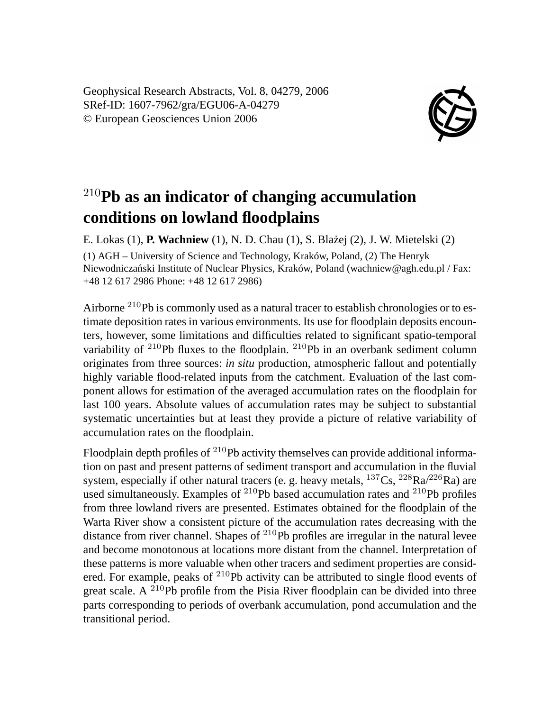Geophysical Research Abstracts, Vol. 8, 04279, 2006 SRef-ID: 1607-7962/gra/EGU06-A-04279 © European Geosciences Union 2006



## <sup>210</sup>**Pb as an indicator of changing accumulation conditions on lowland floodplains**

E. Lokas (1), **P. Wachniew** (1), N. D. Chau (1), S. Blażej (2), J. W. Mietelski (2) (1) AGH – University of Science and Technology, Kraków, Poland, (2) The Henryk Niewodniczański Institute of Nuclear Physics, Kraków, Poland (wachniew@agh.edu.pl / Fax:

+48 12 617 2986 Phone: +48 12 617 2986)

Airborne <sup>210</sup>Pb is commonly used as a natural tracer to establish chronologies or to estimate deposition rates in various environments. Its use for floodplain deposits encounters, however, some limitations and difficulties related to significant spatio-temporal variability of  $2^{10}Pb$  fluxes to the floodplain.  $2^{10}Pb$  in an overbank sediment column originates from three sources: *in situ* production, atmospheric fallout and potentially highly variable flood-related inputs from the catchment. Evaluation of the last component allows for estimation of the averaged accumulation rates on the floodplain for last 100 years. Absolute values of accumulation rates may be subject to substantial systematic uncertainties but at least they provide a picture of relative variability of accumulation rates on the floodplain.

Floodplain depth profiles of <sup>210</sup>Pb activity themselves can provide additional information on past and present patterns of sediment transport and accumulation in the fluvial system, especially if other natural tracers (e. g. heavy metals,  $^{137}Cs$ ,  $^{228}Ra/^{226}Ra$ ) are used simultaneously. Examples of  $^{210}Pb$  based accumulation rates and  $^{210}Pb$  profiles from three lowland rivers are presented. Estimates obtained for the floodplain of the Warta River show a consistent picture of the accumulation rates decreasing with the distance from river channel. Shapes of  $^{210}Pb$  profiles are irregular in the natural levee and become monotonous at locations more distant from the channel. Interpretation of these patterns is more valuable when other tracers and sediment properties are considered. For example, peaks of <sup>210</sup>Pb activity can be attributed to single flood events of great scale. A <sup>210</sup>Pb profile from the Pisia River floodplain can be divided into three parts corresponding to periods of overbank accumulation, pond accumulation and the transitional period.